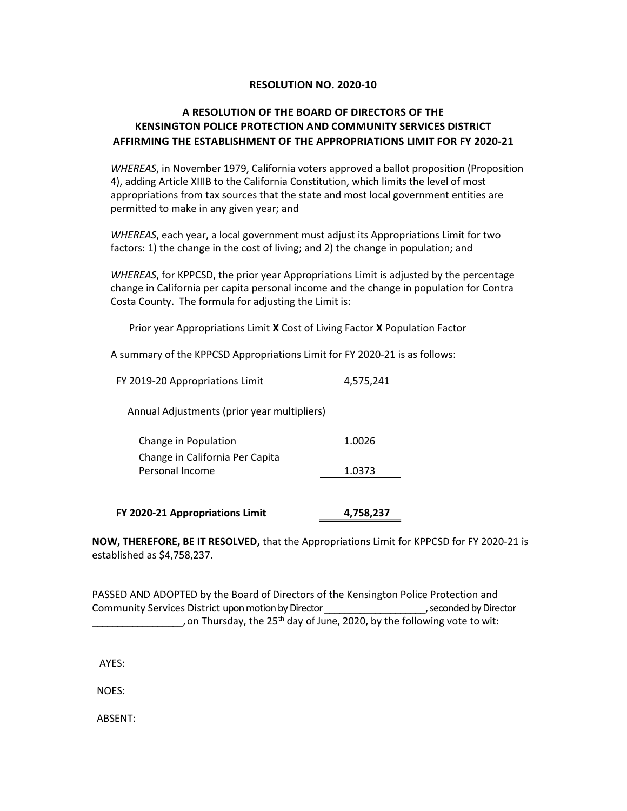## RESOLUTION NO. 2020-10

## A RESOLUTION OF THE BOARD OF DIRECTORS OF THE KENSINGTON POLICE PROTECTION AND COMMUNITY SERVICES DISTRICT AFFIRMING THE ESTABLISHMENT OF THE APPROPRIATIONS LIMIT FOR FY 2020-21

WHEREAS, in November 1979, California voters approved a ballot proposition (Proposition 4), adding Article XIIIB to the California Constitution, which limits the level of most appropriations from tax sources that the state and most local government entities are permitted to make in any given year; and

WHEREAS, each year, a local government must adjust its Appropriations Limit for two factors: 1) the change in the cost of living; and 2) the change in population; and

WHEREAS, for KPPCSD, the prior year Appropriations Limit is adjusted by the percentage change in California per capita personal income and the change in population for Contra Costa County. The formula for adjusting the Limit is:

Prior year Appropriations Limit X Cost of Living Factor X Population Factor

A summary of the KPPCSD Appropriations Limit for FY 2020-21 is as follows:

| FY 2019-20 Appropriations Limit                    | 4,575,241 |
|----------------------------------------------------|-----------|
| Annual Adjustments (prior year multipliers)        |           |
| Change in Population                               | 1.0026    |
| Change in California Per Capita<br>Personal Income | 1.0373    |
| FY 2020-21 Appropriations Limit                    | 4,758,237 |

NOW, THEREFORE, BE IT RESOLVED, that the Appropriations Limit for KPPCSD for FY 2020-21 is established as \$4,758,237.

PASSED AND ADOPTED by the Board of Directors of the Kensington Police Protection and Community Services District upon motion by Director \_\_\_\_\_\_\_\_\_\_\_\_\_\_\_\_\_\_\_\_, seconded by Director , on Thursday, the 25<sup>th</sup> day of June, 2020, by the following vote to wit:

AYES:

NOES:

ABSENT: